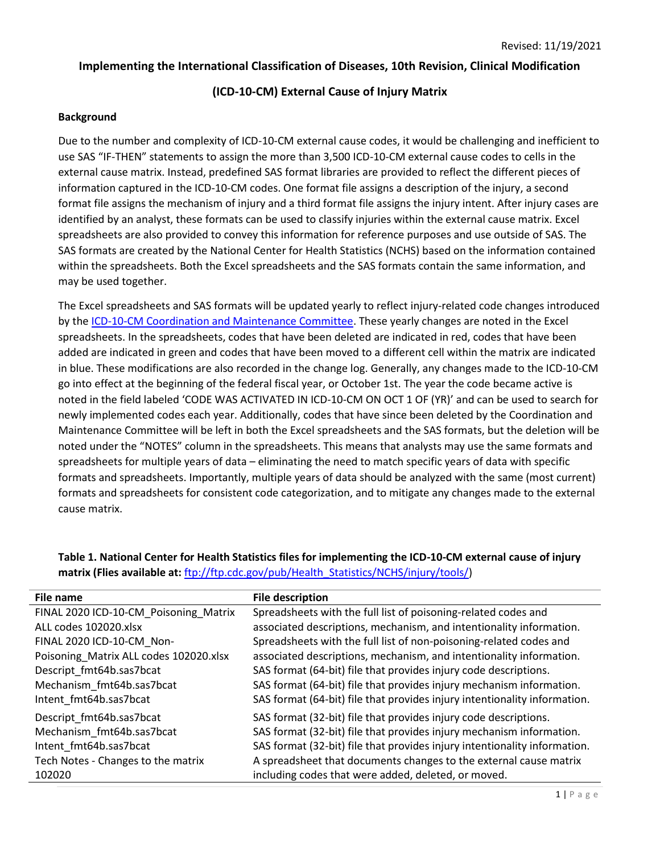### **Implementing the International Classification of Diseases, 10th Revision, Clinical Modification**

# **(ICD-10-CM) External Cause of Injury Matrix**

### **Background**

Due to the number and complexity of ICD-10-CM external cause codes, it would be challenging and inefficient to use SAS "IF-THEN" statements to assign the more than 3,500 ICD-10-CM external cause codes to cells in the external cause matrix. Instead, predefined SAS format libraries are provided to reflect the different pieces of information captured in the ICD-10-CM codes. One format file assigns a description of the injury, a second format file assigns the mechanism of injury and a third format file assigns the injury intent. After injury cases are identified by an analyst, these formats can be used to classify injuries within the external cause matrix. Excel spreadsheets are also provided to convey this information for reference purposes and use outside of SAS. The SAS formats are created by the National Center for Health Statistics (NCHS) based on the information contained within the spreadsheets. Both the Excel spreadsheets and the SAS formats contain the same information, and may be used together.

The Excel spreadsheets and SAS formats will be updated yearly to reflect injury-related code changes introduced by th[e ICD-10-CM Coordination and Maintenance Committee.](https://www.cdc.gov/nchs/icd/icd10cm_maintenance.htm) These yearly changes are noted in the Excel spreadsheets. In the spreadsheets, codes that have been deleted are indicated in red, codes that have been added are indicated in green and codes that have been moved to a different cell within the matrix are indicated in blue. These modifications are also recorded in the change log. Generally, any changes made to the ICD-10-CM go into effect at the beginning of the federal fiscal year, or October 1st. The year the code became active is noted in the field labeled 'CODE WAS ACTIVATED IN ICD-10-CM ON OCT 1 OF (YR)' and can be used to search for newly implemented codes each year. Additionally, codes that have since been deleted by the Coordination and Maintenance Committee will be left in both the Excel spreadsheets and the SAS formats, but the deletion will be noted under the "NOTES" column in the spreadsheets. This means that analysts may use the same formats and spreadsheets for multiple years of data – eliminating the need to match specific years of data with specific formats and spreadsheets. Importantly, multiple years of data should be analyzed with the same (most current) formats and spreadsheets for consistent code categorization, and to mitigate any changes made to the external cause matrix.

| File name                              | <b>File description</b>                                                   |
|----------------------------------------|---------------------------------------------------------------------------|
| FINAL 2020 ICD-10-CM_Poisoning_Matrix  | Spreadsheets with the full list of poisoning-related codes and            |
| ALL codes 102020.xlsx                  | associated descriptions, mechanism, and intentionality information.       |
| FINAL 2020 ICD-10-CM Non-              | Spreadsheets with the full list of non-poisoning-related codes and        |
| Poisoning Matrix ALL codes 102020.xlsx | associated descriptions, mechanism, and intentionality information.       |
| Descript fmt64b.sas7bcat               | SAS format (64-bit) file that provides injury code descriptions.          |
| Mechanism_fmt64b.sas7bcat              | SAS format (64-bit) file that provides injury mechanism information.      |
| Intent fmt64b.sas7bcat                 | SAS format (64-bit) file that provides injury intentionality information. |
| Descript_fmt64b.sas7bcat               | SAS format (32-bit) file that provides injury code descriptions.          |
| Mechanism fmt64b.sas7bcat              | SAS format (32-bit) file that provides injury mechanism information.      |
| Intent fmt64b.sas7bcat                 | SAS format (32-bit) file that provides injury intentionality information. |
| Tech Notes - Changes to the matrix     | A spreadsheet that documents changes to the external cause matrix         |
| 102020                                 | including codes that were added, deleted, or moved.                       |

**Table 1. National Center for Health Statistics files for implementing the ICD-10-CM external cause of injury matrix (Flies available at:** [ftp://ftp.cdc.gov/pub/Health\\_Statistics/NCHS/injury/tools/\)](ftp://ftp.cdc.gov/pub/Health_Statistics/NCHS/injury/tools/)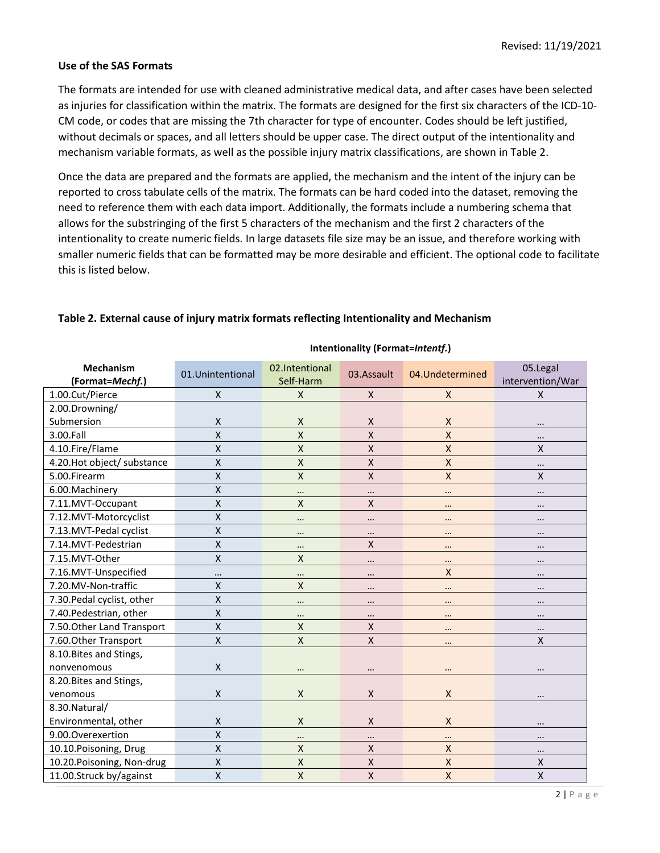#### **Use of the SAS Formats**

The formats are intended for use with cleaned administrative medical data, and after cases have been selected as injuries for classification within the matrix. The formats are designed for the first six characters of the ICD-10- CM code, or codes that are missing the 7th character for type of encounter. Codes should be left justified, without decimals or spaces, and all letters should be upper case. The direct output of the intentionality and mechanism variable formats, as well as the possible injury matrix classifications, are shown in Table 2.

Once the data are prepared and the formats are applied, the mechanism and the intent of the injury can be reported to cross tabulate cells of the matrix. The formats can be hard coded into the dataset, removing the need to reference them with each data import. Additionally, the formats include a numbering schema that allows for the substringing of the first 5 characters of the mechanism and the first 2 characters of the intentionality to create numeric fields. In large datasets file size may be an issue, and therefore working with smaller numeric fields that can be formatted may be more desirable and efficient. The optional code to facilitate this is listed below.

**Intentionality (Format=***Intentf.***)**

|                             |                         |                    |              | -                  |                           |
|-----------------------------|-------------------------|--------------------|--------------|--------------------|---------------------------|
| <b>Mechanism</b>            | 01.Unintentional        | 02.Intentional     | 03.Assault   | 04.Undetermined    | 05.Legal                  |
| (Format=Mechf.)             |                         | Self-Harm          |              |                    | intervention/War          |
| 1.00.Cut/Pierce             | X                       | $\mathsf X$        | X            | X                  | $\mathsf{X}$              |
| 2.00.Drowning/              |                         |                    |              |                    |                           |
| Submersion                  | $\pmb{\mathsf{X}}$      | $\mathsf{X}$       | X            | X                  |                           |
| 3.00.Fall                   | $\pmb{\mathsf{X}}$      | $\pmb{\mathsf{X}}$ | X            | X                  | $\cdots$                  |
| 4.10.Fire/Flame             | $\mathsf{X}$            | $\pmb{\chi}$       | $\mathsf{X}$ | $\mathsf{X}$       | $\boldsymbol{\mathsf{X}}$ |
| 4.20. Hot object/ substance | $\pmb{\mathsf{X}}$      | $\mathsf{X}$       | $\mathsf{X}$ | $\pmb{\mathsf{X}}$ | $\cdots$                  |
| 5.00.Firearm                | $\pmb{\mathsf{X}}$      | $\pmb{\chi}$       | $\mathsf{X}$ | X                  | X                         |
| 6.00. Machinery             | $\pmb{\mathsf{X}}$      | $\cdots$           |              | $\ddotsc$          | $\cdots$                  |
| 7.11.MVT-Occupant           | X                       | $\mathsf{X}$       | X            | $\cdots$           | $\cdots$                  |
| 7.12.MVT-Motorcyclist       | $\pmb{\mathsf{X}}$      |                    |              | $\cdots$           | $\cdots$                  |
| 7.13.MVT-Pedal cyclist      | $\pmb{\mathsf{X}}$      | $\cdots$           | $\cdots$     | $\cdots$           | $\cdots$                  |
| 7.14.MVT-Pedestrian         | $\pmb{\mathsf{X}}$      | $\cdots$           | X            |                    |                           |
| 7.15.MVT-Other              | $\pmb{\mathsf{X}}$      | $\times$           |              | $\cdots$           | $\cdots$                  |
| 7.16.MVT-Unspecified        | $\cdots$                |                    |              | $\pmb{\mathsf{X}}$ |                           |
| 7.20.MV-Non-traffic         | $\pmb{\mathsf{X}}$      | $\mathsf{X}$       | $\cdots$     | $\ddotsc$          | $\cdots$                  |
| 7.30. Pedal cyclist, other  | $\mathsf{x}$            | $\cdots$           | $\cdots$     | $\ddotsc$          | $\cdots$                  |
| 7.40. Pedestrian, other     | $\mathsf{X}$            | $\cdots$           |              | $\cdots$           | $\cdots$                  |
| 7.50. Other Land Transport  | X                       | $\mathsf{X}$       | X            | $\ddotsc$          | $\ddotsc$                 |
| 7.60. Other Transport       | $\mathsf{X}$            | X                  | $\mathsf{X}$ | $\cdots$           | $\pmb{\mathsf{X}}$        |
| 8.10. Bites and Stings,     |                         |                    |              |                    |                           |
| nonvenomous                 | X                       |                    |              | $\ddotsc$          |                           |
| 8.20. Bites and Stings,     |                         |                    |              |                    |                           |
| venomous                    | X                       | $\mathsf{X}$       | X            | X                  |                           |
| 8.30. Natural/              |                         |                    |              |                    |                           |
| Environmental, other        | X                       | $\mathsf{X}$       | X            | $\mathsf{X}$       | $\cdots$                  |
| 9.00.Overexertion           | $\mathsf{\overline{X}}$ | $\cdots$           | $\cdots$     |                    | $\cdots$                  |
| 10.10.Poisoning, Drug       | $\pmb{\mathsf{X}}$      | $\mathsf X$        | X            | $\mathsf{X}$       |                           |
| 10.20. Poisoning, Non-drug  | $\pmb{\mathsf{X}}$      | X                  | $\mathsf{X}$ | $\pmb{\mathsf{X}}$ | X                         |
| 11.00.Struck by/against     | $\pmb{\mathsf{X}}$      | $\mathsf{X}$       | X            | $\pmb{\mathsf{X}}$ | $\mathsf{X}$              |

#### **Table 2. External cause of injury matrix formats reflecting Intentionality and Mechanism**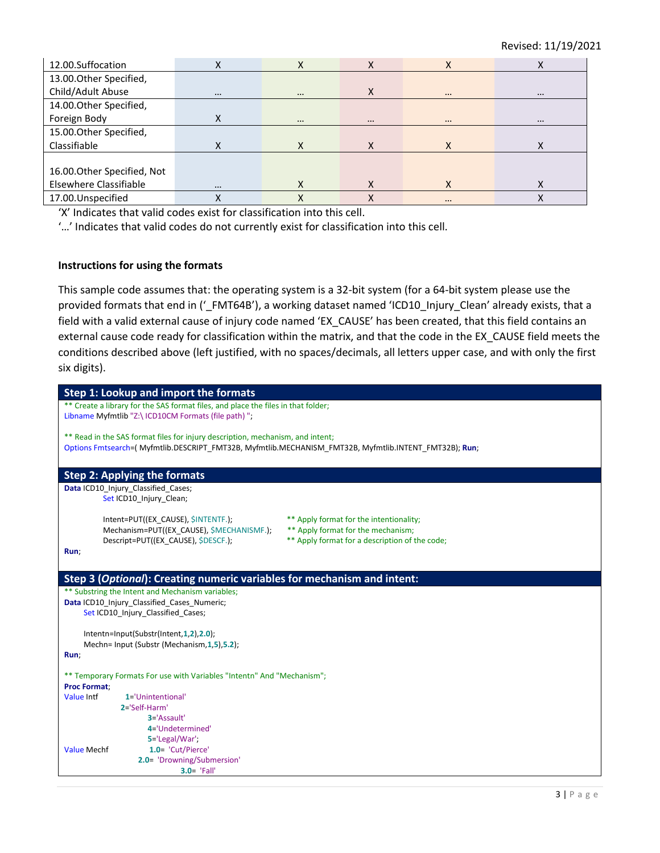| 12.00.Suffocation           |          | X        | X        | X        | X        |
|-----------------------------|----------|----------|----------|----------|----------|
| 13.00. Other Specified,     |          |          |          |          |          |
| Child/Adult Abuse           | $\cdots$ | $\cdots$ | X        | $\cdots$ | $\cdots$ |
| 14.00. Other Specified,     |          |          |          |          |          |
| Foreign Body                |          | $\cdots$ | $\cdots$ | $\cdots$ | $\cdots$ |
| 15.00. Other Specified,     |          |          |          |          |          |
| Classifiable                |          |          |          |          | х        |
|                             |          |          |          |          |          |
| 16.00. Other Specified, Not |          |          |          |          |          |
| Elsewhere Classifiable      | $\cdots$ |          |          | X        | Χ        |
| 17.00. Unspecified          |          |          |          | $\cdots$ |          |

'X' Indicates that valid codes exist for classification into this cell.

'…' Indicates that valid codes do not currently exist for classification into this cell.

#### **Instructions for using the formats**

This sample code assumes that: the operating system is a 32-bit system (for a 64-bit system please use the provided formats that end in ('\_FMT64B'), a working dataset named 'ICD10\_Injury\_Clean' already exists, that a field with a valid external cause of injury code named 'EX\_CAUSE' has been created, that this field contains an external cause code ready for classification within the matrix, and that the code in the EX\_CAUSE field meets the conditions described above (left justified, with no spaces/decimals, all letters upper case, and with only the first six digits).

| Step 1: Lookup and import the formats                                                                                             |
|-----------------------------------------------------------------------------------------------------------------------------------|
| ** Create a library for the SAS format files, and place the files in that folder;                                                 |
| Libname Myfmtlib "Z:\ ICD10CM Formats (file path) ";                                                                              |
|                                                                                                                                   |
| ** Read in the SAS format files for injury description, mechanism, and intent;                                                    |
| Options Fmtsearch=(Myfmtlib.DESCRIPT FMT32B, Myfmtlib.MECHANISM FMT32B, Myfmtlib.INTENT FMT32B); Run;                             |
|                                                                                                                                   |
| <b>Step 2: Applying the formats</b>                                                                                               |
| Data ICD10_Injury_Classified_Cases;                                                                                               |
| Set ICD10_Injury_Clean;                                                                                                           |
|                                                                                                                                   |
| Intent=PUT((EX_CAUSE), \$INTENTF.);<br>** Apply format for the intentionality;                                                    |
| Mechanism=PUT((EX CAUSE), \$MECHANISMF.);<br>** Apply format for the mechanism;<br>** Apply format for a description of the code; |
| Descript=PUT((EX CAUSE), \$DESCF.);<br>Run;                                                                                       |
|                                                                                                                                   |
|                                                                                                                                   |
| Step 3 (Optional): Creating numeric variables for mechanism and intent:                                                           |
| ** Substring the Intent and Mechanism variables;                                                                                  |
| Data ICD10 Injury Classified Cases Numeric;                                                                                       |
| Set ICD10 Injury Classified Cases;                                                                                                |
|                                                                                                                                   |
| Intentn=Input(Substr(Intent,1,2),2.0);                                                                                            |
| Mechn= Input (Substr (Mechanism, 1, 5), 5.2);<br>Run;                                                                             |
|                                                                                                                                   |
| ** Temporary Formats For use with Variables "Intentn" And "Mechanism";                                                            |
| <b>Proc Format;</b>                                                                                                               |
| Value Intf<br>1='Unintentional'                                                                                                   |
| 2='Self-Harm'                                                                                                                     |
| $3 = 'Assault'$                                                                                                                   |
| 4='Undetermined'                                                                                                                  |
| 5='Legal/War';                                                                                                                    |
| 1.0= 'Cut/Pierce'<br><b>Value Mechf</b>                                                                                           |
| 2.0= 'Drowning/Submersion'<br>$3.0 = 'Fall'$                                                                                      |
|                                                                                                                                   |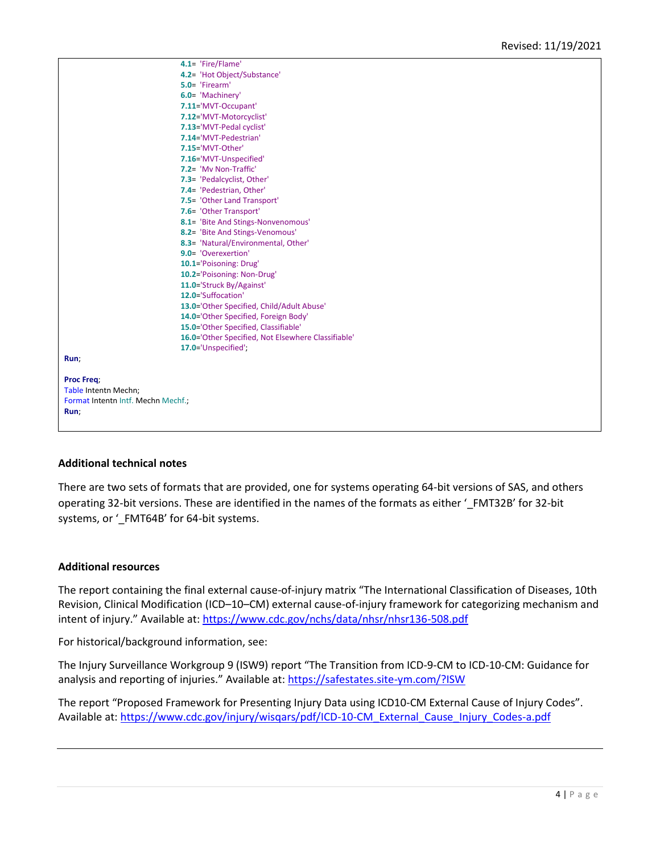|                                    | 4.1= 'Fire/Flame'                                  |
|------------------------------------|----------------------------------------------------|
|                                    | 4.2= 'Hot Object/Substance'                        |
|                                    | 5.0= 'Firearm'                                     |
|                                    | 6.0= 'Machinery'                                   |
|                                    | 7.11='MVT-Occupant'                                |
|                                    | 7.12='MVT-Motorcyclist'                            |
|                                    | 7.13='MVT-Pedal cyclist'                           |
|                                    | 7.14='MVT-Pedestrian'                              |
|                                    | 7.15='MVT-Other'                                   |
|                                    | 7.16='MVT-Unspecified'                             |
|                                    | 7.2= 'My Non-Traffic'                              |
|                                    | 7.3= 'Pedalcyclist, Other'                         |
|                                    | 7.4= 'Pedestrian, Other'                           |
|                                    | 7.5= 'Other Land Transport'                        |
|                                    | 7.6= 'Other Transport'                             |
|                                    | 8.1= 'Bite And Stings-Nonvenomous'                 |
|                                    | 8.2= 'Bite And Stings-Venomous'                    |
|                                    | 8.3= 'Natural/Environmental, Other'                |
|                                    | 9.0= 'Overexertion'                                |
|                                    | 10.1='Poisoning: Drug'                             |
|                                    | 10.2='Poisoning: Non-Drug'                         |
|                                    | 11.0='Struck By/Against'                           |
|                                    | 12.0='Suffocation'                                 |
|                                    | 13.0='Other Specified, Child/Adult Abuse'          |
|                                    | 14.0='Other Specified, Foreign Body'               |
|                                    | 15.0='Other Specified, Classifiable'               |
|                                    | 16.0='Other Specified, Not Elsewhere Classifiable' |
|                                    | 17.0='Unspecified';                                |
| Run;                               |                                                    |
|                                    |                                                    |
| <b>Proc Freq;</b>                  |                                                    |
| Table Intentn Mechn;               |                                                    |
| Format Intentn Intf. Mechn Mechf.; |                                                    |
| Run;                               |                                                    |
|                                    |                                                    |
|                                    |                                                    |

#### **Additional technical notes**

There are two sets of formats that are provided, one for systems operating 64-bit versions of SAS, and others operating 32-bit versions. These are identified in the names of the formats as either '\_FMT32B' for 32-bit systems, or '\_FMT64B' for 64-bit systems.

#### **Additional resources**

The report containing the final external cause-of-injury matrix "The International Classification of Diseases, 10th Revision, Clinical Modification (ICD–10–CM) external cause-of-injury framework for categorizing mechanism and intent of injury." Available at: <https://www.cdc.gov/nchs/data/nhsr/nhsr136-508.pdf>

For historical/background information, see:

The Injury Surveillance Workgroup 9 (ISW9) report "The Transition from ICD-9-CM to ICD-10-CM: Guidance for analysis and reporting of injuries." Available at: <https://safestates.site-ym.com/?ISW>

The report "Proposed Framework for Presenting Injury Data using ICD10-CM External Cause of Injury Codes". Available at[: https://www.cdc.gov/injury/wisqars/pdf/ICD-10-CM\\_External\\_Cause\\_Injury\\_Codes-a.pdf](https://www.cdc.gov/injury/wisqars/pdf/ICD-10-CM_External_Cause_Injury_Codes-a.pdf)